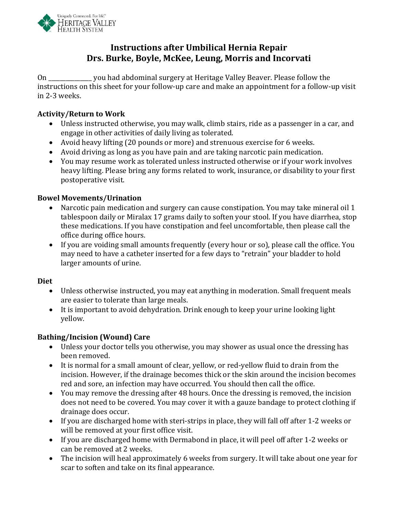

# **Instructions after Umbilical Hernia Repair Drs. Burke, Boyle, McKee, Leung, Morris and Incorvati**

On \_\_\_\_\_\_\_\_\_\_\_\_\_\_\_ you had abdominal surgery at Heritage Valley Beaver. Please follow the instructions on this sheet for your follow-up care and make an appointment for a follow-up visit in 2-3 weeks.

### **Activity/Return to Work**

- Unless instructed otherwise, you may walk, climb stairs, ride as a passenger in a car, and engage in other activities of daily living as tolerated.
- Avoid heavy lifting (20 pounds or more) and strenuous exercise for 6 weeks.
- Avoid driving as long as you have pain and are taking narcotic pain medication.
- You may resume work as tolerated unless instructed otherwise or if your work involves heavy lifting. Please bring any forms related to work, insurance, or disability to your first postoperative visit.

## **Bowel Movements/Urination**

- Narcotic pain medication and surgery can cause constipation. You may take mineral oil 1 tablespoon daily or Miralax 17 grams daily to soften your stool. If you have diarrhea, stop these medications. If you have constipation and feel uncomfortable, then please call the office during office hours.
- If you are voiding small amounts frequently (every hour or so), please call the office. You may need to have a catheter inserted for a few days to "retrain" your bladder to hold larger amounts of urine.

### **Diet**

- Unless otherwise instructed, you may eat anything in moderation. Small frequent meals are easier to tolerate than large meals.
- It is important to avoid dehydration. Drink enough to keep your urine looking light yellow.

### **Bathing/Incision (Wound) Care**

- Unless your doctor tells you otherwise, you may shower as usual once the dressing has been removed.
- It is normal for a small amount of clear, yellow, or red-yellow fluid to drain from the incision. However, if the drainage becomes thick or the skin around the incision becomes red and sore, an infection may have occurred. You should then call the office.
- You may remove the dressing after 48 hours. Once the dressing is removed, the incision does not need to be covered. You may cover it with a gauze bandage to protect clothing if drainage does occur.
- If you are discharged home with steri-strips in place, they will fall off after 1-2 weeks or will be removed at your first office visit.
- If you are discharged home with Dermabond in place, it will peel off after 1-2 weeks or can be removed at 2 weeks.
- The incision will heal approximately 6 weeks from surgery. It will take about one year for scar to soften and take on its final appearance.